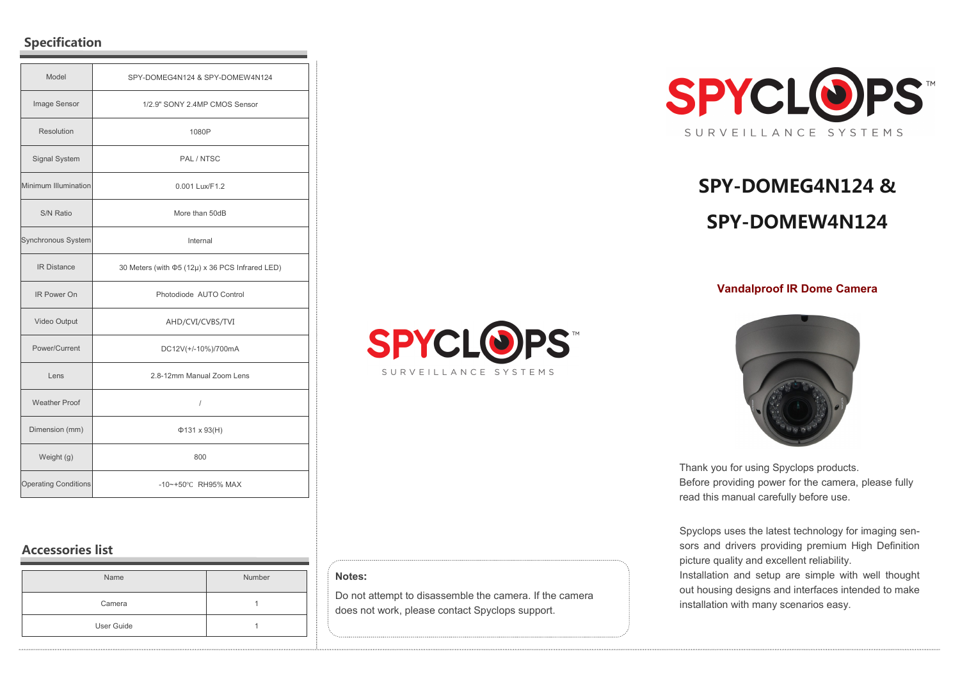## **Specification**

| Model                       | SPY-DOMEG4N124 & SPY-DOMEW4N124                       |
|-----------------------------|-------------------------------------------------------|
| Image Sensor                | 1/2.9" SONY 2.4MP CMOS Sensor                         |
| <b>Resolution</b>           | 1080P                                                 |
| Signal System               | PAL / NTSC                                            |
| Minimum Illumination        | 0.001 Lux/F1.2                                        |
| S/N Ratio                   | More than 50dB                                        |
| Synchronous System          | Internal                                              |
| <b>IR Distance</b>          | 30 Meters (with $\Phi$ 5 (12µ) x 36 PCS Infrared LED) |
| IR Power On                 | Photodiode AUTO Control                               |
| Video Output                | AHD/CVI/CVBS/TVI                                      |
| Power/Current               | DC12V(+/-10%)/700mA                                   |
| Lens                        | 2.8-12mm Manual Zoom Lens                             |
| <b>Weather Proof</b>        | $\overline{I}$                                        |
| Dimension (mm)              | $\Phi$ 131 x 93(H)                                    |
| Weight (g)                  | 800                                                   |
| <b>Operating Conditions</b> | -10~+50°C RH95% MAX                                   |

# **Accessories list**

| Name       | Number |
|------------|--------|
| Camera     |        |
| User Guide |        |



# **SPY-DOMEG4N124 & SPY-DOMEW4N124**

### **Vandalproof IR Dome Camera**



800.221.0932 • www.SpyclopsUSA.com

#### **Notes:**

Do not attempt to disassemble the camera. If the camera does not work, please contact Spyclops support.



Thank you for using Spyclops products. Before providing power for the camera, please fully read this manual carefully before use.

Spyclops uses the latest technology for imaging sensors and drivers providing premium High Definition picture quality and excellent reliability. Installation and setup are simple with well thought out housing designs and interfaces intended to make

installation with many scenarios easy.